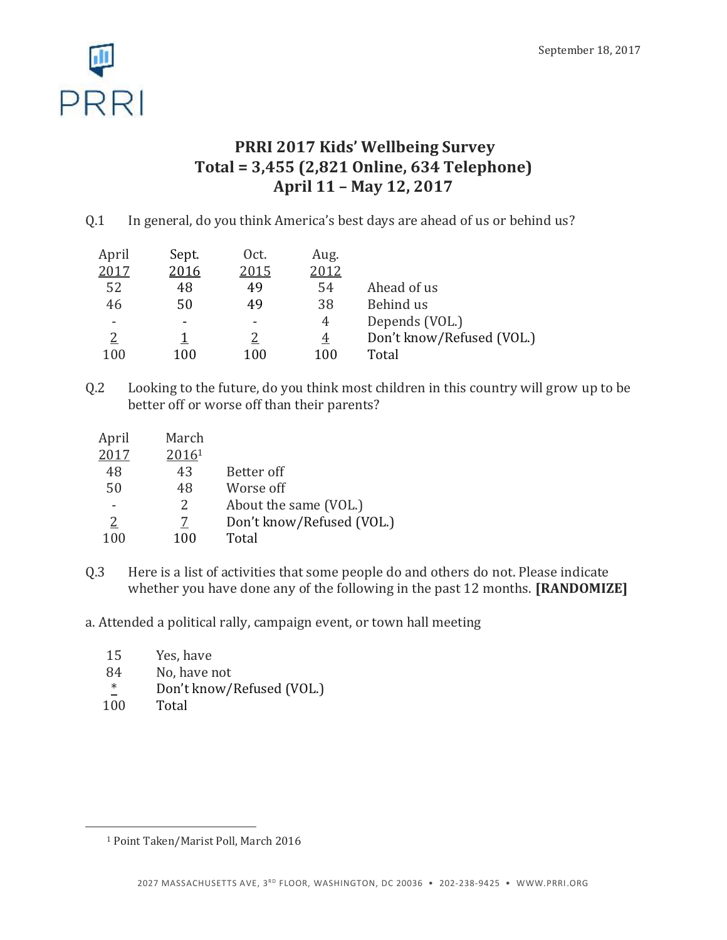

# **PRRI 2017 Kids' Wellbeing Survey Total = 3,455 (2,821 Online, 634 Telephone) April 11 – May 12, 2017**

Q.1 In general, do you think America's best days are ahead of us or behind us?

| April | Sept. | Oct. | Aug.     |                           |
|-------|-------|------|----------|---------------------------|
| 2017  | 2016  | 2015 | 2012     |                           |
| 52    | 48    | 49   | 54       | Ahead of us               |
| 46    | 50    | 49   | 38       | Behind us                 |
|       |       |      | 4        | Depends (VOL.)            |
|       |       |      | <u>4</u> | Don't know/Refused (VOL.) |
| 100   | 100   | 100  | 100      | Total                     |

Q.2 Looking to the future, do you think most children in this country will grow up to be better off or worse off than their parents?

| April    | March |                           |
|----------|-------|---------------------------|
| 2017     | 20161 |                           |
| 48       | 43    | Better off                |
| 50       | 48    | Worse off                 |
|          | 2     | About the same (VOL.)     |
| <u>2</u> | 7     | Don't know/Refused (VOL.) |
| 100      | 100   | Total                     |

Q.3 Here is a list of activities that some people do and others do not. Please indicate whether you have done any of the following in the past 12 months. **[RANDOMIZE]**

a. Attended a political rally, campaign event, or town hall meeting

- 15 Yes, have
- 84 No, have not
- \* Don't know/Refused (VOL.)
- 100 Total

 $\overline{a}$ 

<sup>1</sup> Point Taken/Marist Poll, March 2016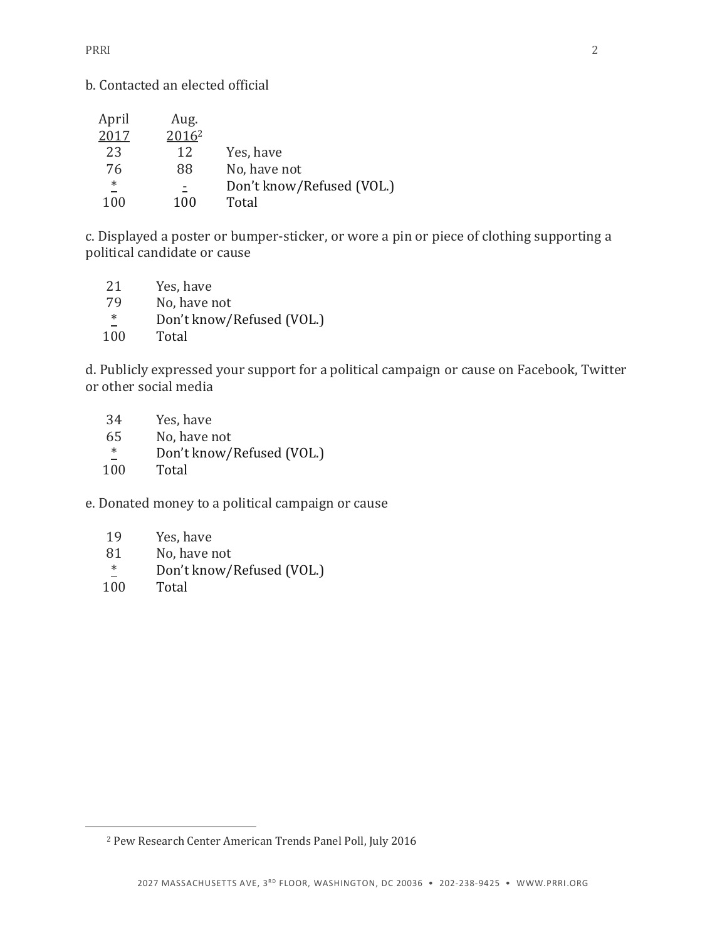b. Contacted an elected official

| April  | Aug.              |                           |
|--------|-------------------|---------------------------|
| 2017   | 2016 <sup>2</sup> |                           |
| 23     | 12                | Yes, have                 |
| 76     | 88                | No, have not              |
| $\ast$ |                   | Don't know/Refused (VOL.) |
| 100    | 100               | Total                     |

c. Displayed a poster or bumper-sticker, or wore a pin or piece of clothing supporting a political candidate or cause

| Don't know/Refused (VOL.) |
|---------------------------|
|                           |
|                           |

d. Publicly expressed your support for a political campaign or cause on Facebook, Twitter or other social media

| 34     | Yes, have                 |
|--------|---------------------------|
| 65     | No, have not              |
| $\ast$ | Don't know/Refused (VOL.) |
| 100    | Total                     |

e. Donated money to a political campaign or cause

- 19 Yes, have
- 81 No, have not
- \* Don't know/Refused (VOL.)
- 100 Total

 $\overline{a}$ 

<sup>2</sup> Pew Research Center American Trends Panel Poll, July 2016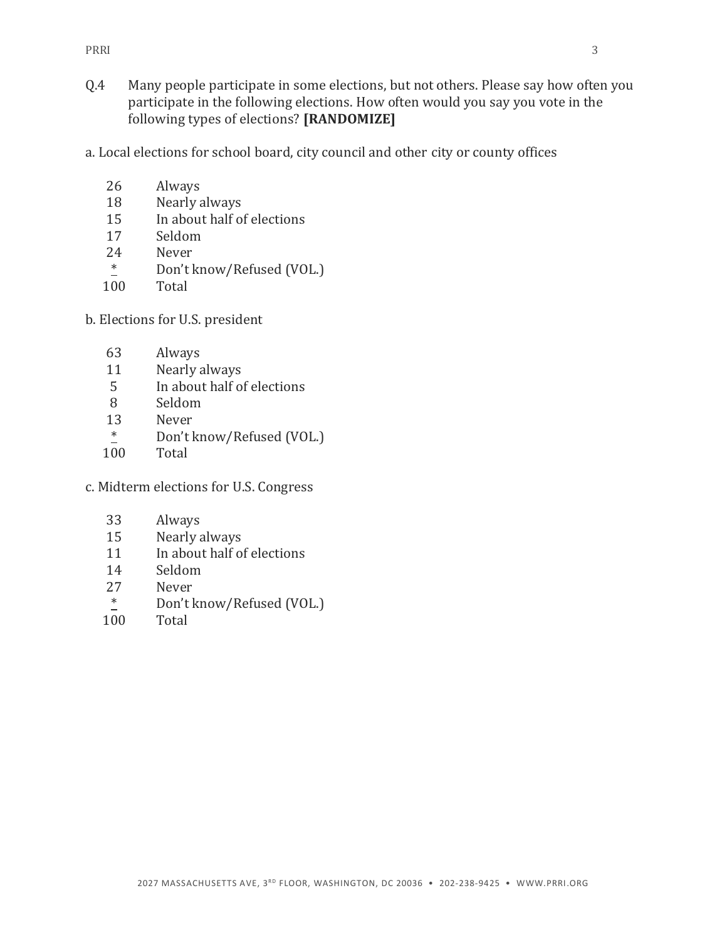- Q.4 Many people participate in some elections, but not others. Please say how often you participate in the following elections. How often would you say you vote in the following types of elections? **[RANDOMIZE]**
- a. Local elections for school board, city council and other city or county offices
	- 26 Always
	- 18 Nearly always
	- 15 In about half of elections
	- 17 Seldom
	- 24 Never
	- \* Don't know/Refused (VOL.)
	- 100 Total
- b. Elections for U.S. president
	- 63 Always
	- 11 Nearly always
	- 5 In about half of elections
	- 8 Seldom
	- 13 Never
	- $\frac{*}{100}$  Don't know/Refused (VOL.)
	- Total
- c. Midterm elections for U.S. Congress
	- 33 Always
	- 15 Nearly always
	- 11 In about half of elections
	- 14 Seldom
	- 27 Never
	- $\frac{*}{100}$  Don't know/Refused (VOL.)
	- **Total**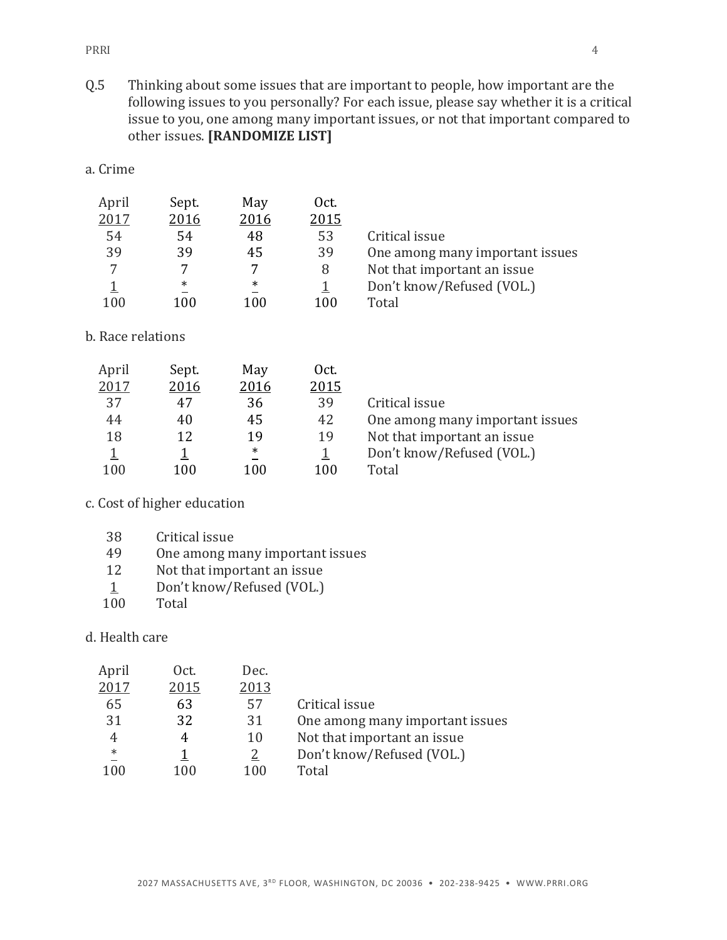PRRI 24

Q.5 Thinking about some issues that are important to people, how important are the following issues to you personally? For each issue, please say whether it is a critical issue to you, one among many important issues, or not that important compared to other issues. **[RANDOMIZE LIST]**

| а. | .rıme |
|----|-------|

| April | Sept.  | May    | Oct. |                                 |
|-------|--------|--------|------|---------------------------------|
| 2017  | 2016   | 2016   | 2015 |                                 |
| 54    | 54     | 48     | 53   | Critical issue                  |
| 39    | 39     | 45     | 39   | One among many important issues |
| 7     |        | 7      |      | Not that important an issue     |
|       | $\ast$ | $\ast$ |      | Don't know/Refused (VOL.)       |
| 100   | 100    | 100    | 100  | Total                           |

#### b. Race relations

| April | Sept. | May  | Oct. |                                 |
|-------|-------|------|------|---------------------------------|
| 2017  | 2016  | 2016 | 2015 |                                 |
| 37    | 47    | 36   | 39   | Critical issue                  |
| 44    | 40    | 45   | 42   | One among many important issues |
| 18    | 12    | 19   | 19   | Not that important an issue     |
|       |       | ∗    |      | Don't know/Refused (VOL.)       |
| 100   | 100   | 100  | 100  | Total                           |

## c. Cost of higher education

- 49 One among many important issues
- 12 Not that important an issue
- 1 Don't know/Refused (VOL.)
- 100 Total

d. Health care

| April  | Oct. | Dec. |                                 |
|--------|------|------|---------------------------------|
| 2017   | 2015 | 2013 |                                 |
| 65     | 63   | 57   | Critical issue                  |
| 31     | 32   | 31   | One among many important issues |
|        |      | 10   | Not that important an issue     |
| $\ast$ |      | 2    | Don't know/Refused (VOL.)       |
| 100    | 100  | 100  | Total                           |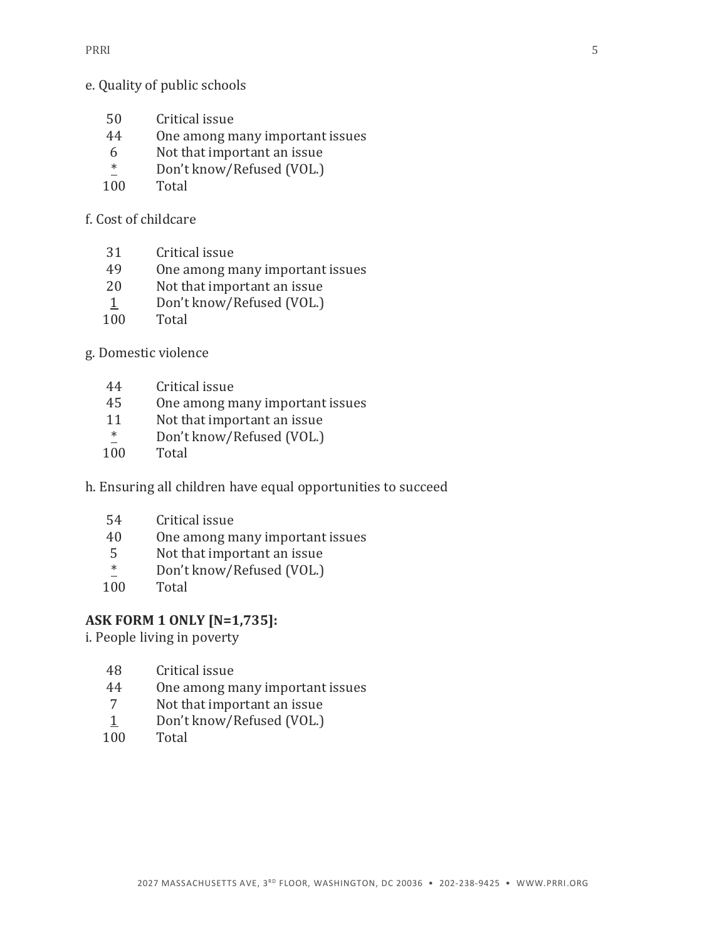#### e. Quality of public schools

- Critical issue
- One among many important issues
- Not that important an issue
- \* Don't know/Refused (VOL.)
- Total

f. Cost of childcare

- Critical issue
- One among many important issues
- Not that important an issue
- Don't know/Refused (VOL.)
- Total

g. Domestic violence

- Critical issue
- One among many important issues
- Not that important an issue
- $\frac{*}{100}$  Don't know/Refused (VOL.)
- Total
- h. Ensuring all children have equal opportunities to succeed
	- Critical issue
	- One among many important issues
	- Not that important an issue
	- \* Don't know/Refused (VOL.)
	- Total

#### **ASK FORM 1 ONLY [N=1,735]:**

i. People living in poverty

- Critical issue
- One among many important issues
- Not that important an issue
- 1 Don't know/Refused (VOL.)
- Total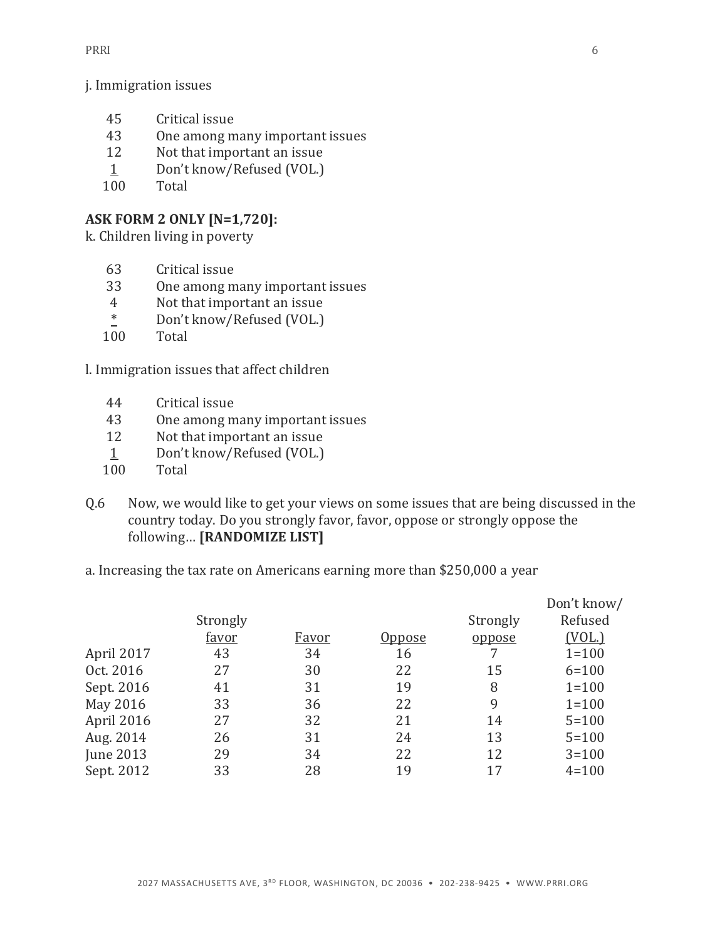j. Immigration issues

- 45 Critical issue
- 43 One among many important issues
- 12 Not that important an issue
- 1 Don't know/Refused (VOL.)
- 100 Total

# **ASK FORM 2 ONLY [N=1,720]:**

k. Children living in poverty

- 63 Critical issue
- 33 One among many important issues
- 4 Not that important an issue
- \* Don't know/Refused (VOL.)
- 100 Total

l. Immigration issues that affect children

- 44 Critical issue
- 43 One among many important issues
- 12 Not that important an issue
- 1 Don't know/Refused (VOL.)
- 100 Total
- Q.6 Now, we would like to get your views on some issues that are being discussed in the country today. Do you strongly favor, favor, oppose or strongly oppose the following… **[RANDOMIZE LIST]**
- a. Increasing the tax rate on Americans earning more than \$250,000 a year

|            |          |              |               |          | Don't know/ |
|------------|----------|--------------|---------------|----------|-------------|
|            | Strongly |              |               | Strongly | Refused     |
|            | favor    | <u>Favor</u> | <u>Oppose</u> | oppose   | (VOL.)      |
| April 2017 | 43       | 34           | 16            |          | $1 = 100$   |
| Oct. 2016  | 27       | 30           | 22            | 15       | $6 = 100$   |
| Sept. 2016 | 41       | 31           | 19            | 8        | $1 = 100$   |
| May 2016   | 33       | 36           | 22            | 9        | $1 = 100$   |
| April 2016 | 27       | 32           | 21            | 14       | $5 = 100$   |
| Aug. 2014  | 26       | 31           | 24            | 13       | $5 = 100$   |
| June 2013  | 29       | 34           | 22            | 12       | $3 = 100$   |
| Sept. 2012 | 33       | 28           | 19            | 17       | $4 = 100$   |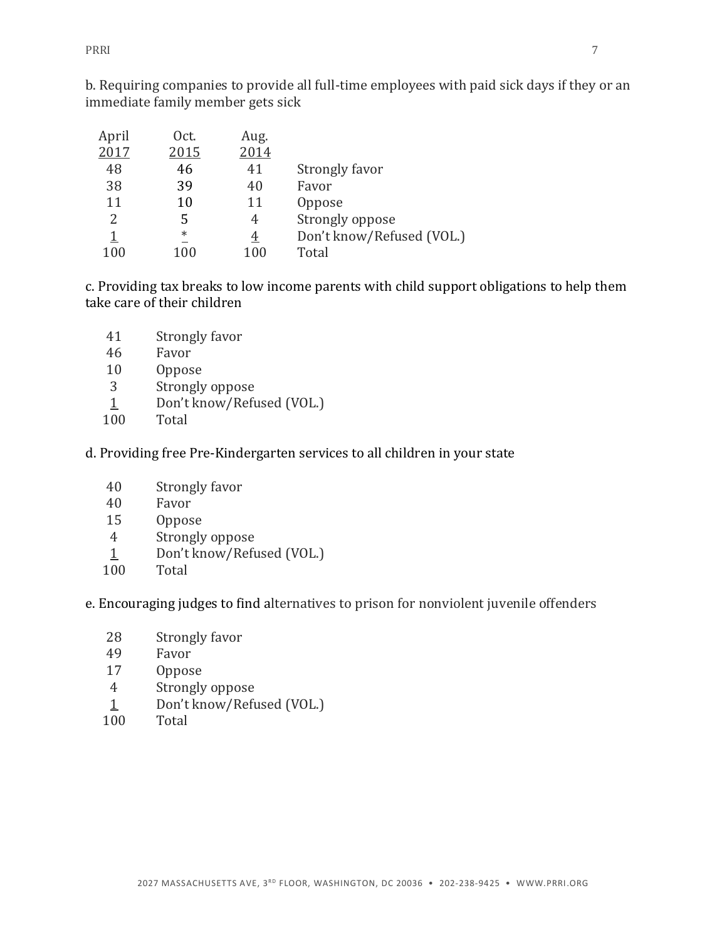PRRI 27

b. Requiring companies to provide all full-time employees with paid sick days if they or an immediate family member gets sick

| April | Oct.    | Aug.           |                           |
|-------|---------|----------------|---------------------------|
| 2017  | 2015    | 2014           |                           |
| 48    | 46      | 41             | Strongly favor            |
| 38    | 39      | 40             | Favor                     |
| 11    | 10      | 11             | Oppose                    |
| 2     | 5       | 4              | Strongly oppose           |
| 1     | $^\ast$ | $\overline{4}$ | Don't know/Refused (VOL.) |
| 100   | $100\,$ | $100\,$        | Total                     |

c. Providing tax breaks to low income parents with child support obligations to help them take care of their children

- Strongly favor
- Favor
- Oppose
- Strongly oppose
- 1 Don't know/Refused (VOL.)
- Total
- d. Providing free Pre-Kindergarten services to all children in your state
	- Strongly favor
	- Favor
	- Oppose
	- Strongly oppose
	- 1 Don't know/Refused (VOL.)
	- Total

e. Encouraging judges to find alternatives to prison for nonviolent juvenile offenders

- Strongly favor
- Favor
- Oppose
- Strongly oppose
- 1 Don't know/Refused (VOL.)
- Total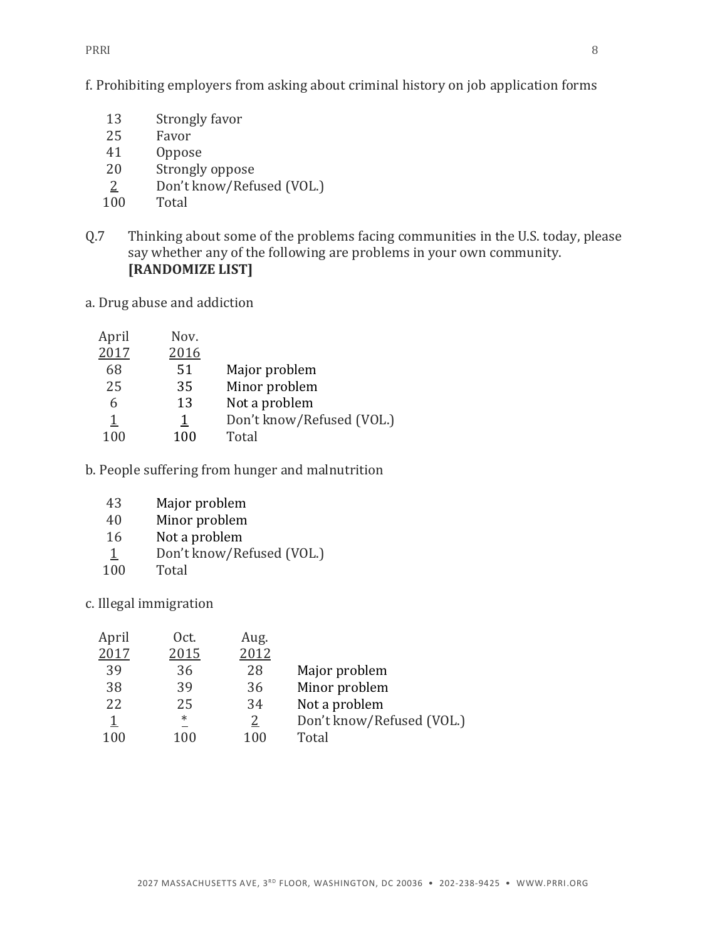PRRI 2008 - 2009 - 2009 - 2009 - 2009 - 2009 - 2009 - 2009 - 2009 - 2009 - 2009 - 2009 - 2009 - 2009 - 2009 - 2009 - 2009 - 2009 - 2009 - 2009 - 2009 - 2009 - 2009 - 2009 - 2009 - 2009 - 2009 - 2009 - 2009 - 2009 - 2009 -

f. Prohibiting employers from asking about criminal history on job application forms

- Strongly favor
- Favor
- Oppose
- Strongly oppose
- 2 Don't know/Refused (VOL.)
- Total
- Q.7 Thinking about some of the problems facing communities in the U.S. today, please say whether any of the following are problems in your own community. **[RANDOMIZE LIST]**
- a. Drug abuse and addiction

| April       | Nov.     |                           |
|-------------|----------|---------------------------|
| 2017        | 2016     |                           |
| 68          | 51       | Major problem             |
| 25          | 35       | Minor problem             |
| 6           | 13       | Not a problem             |
| $\mathbf 1$ | <u>1</u> | Don't know/Refused (VOL.) |
| 100         | 100      | Total                     |

b. People suffering from hunger and malnutrition

- Major problem
- Minor problem
- Not a problem
- Don't know/Refused (VOL.)
- Total

c. Illegal immigration

| Oct.   | Aug. |                           |
|--------|------|---------------------------|
| 2015   | 2012 |                           |
| 36     | 28   | Major problem             |
| 39     | 36   | Minor problem             |
| 25     | 34   | Not a problem             |
| $\ast$ | 2    | Don't know/Refused (VOL.) |
| 100    | 100  | Total                     |
|        |      |                           |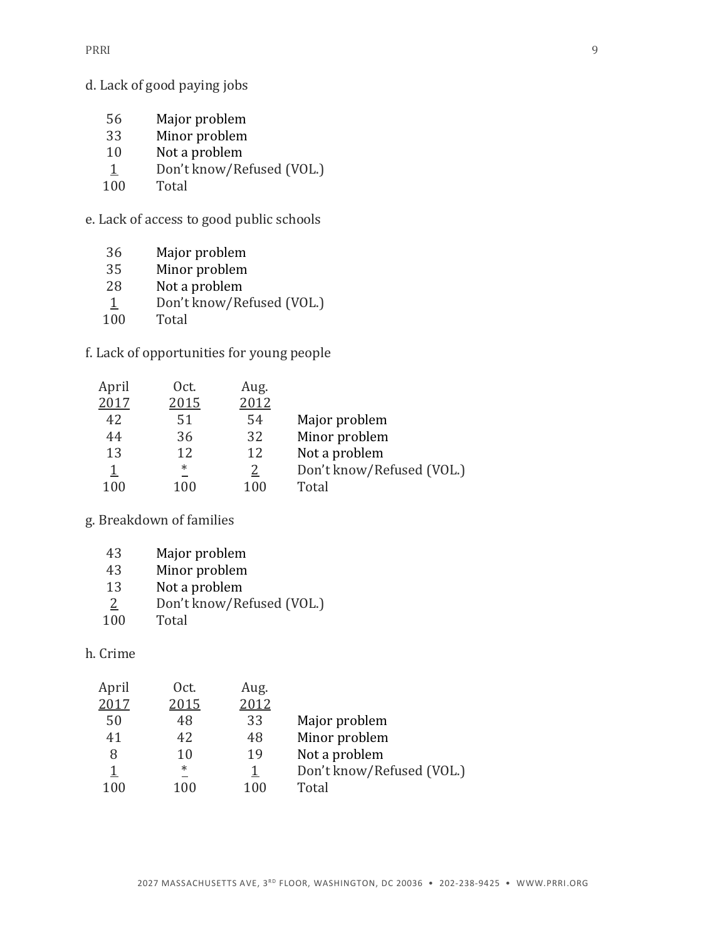d. Lack of good paying jobs

- Major problem
- Minor problem
- Not a problem
- Don't know/Refused (VOL.)
- Total

e. Lack of access to good public schools

- Major problem
- Minor problem
- Not a problem
- 1 Don't know/Refused (VOL.)
- Total

f. Lack of opportunities for young people

| April | Oct.   | Aug. |                           |
|-------|--------|------|---------------------------|
| 2017  | 2015   | 2012 |                           |
| 42    | 51     | 54   | Major problem             |
| 44    | 36     | 32   | Minor problem             |
| 13    | 12     | 12   | Not a problem             |
|       | $\ast$ |      | Don't know/Refused (VOL.) |
| 100   | 100    | 100  | Total                     |

g. Breakdown of families

| 43             | Major problem             |
|----------------|---------------------------|
| 43             | Minor problem             |
| 13             | Not a problem             |
| $\overline{2}$ | Don't know/Refused (VOL.) |
| 100            | Total                     |

#### h. Crime

| April | Oct.   | Aug. |                           |
|-------|--------|------|---------------------------|
| 2017  | 2015   | 2012 |                           |
| 50    | 48     | 33   | Major problem             |
| 41    | 42     | 48   | Minor problem             |
| 8     | 10     | 19   | Not a problem             |
|       | $\ast$ |      | Don't know/Refused (VOL.) |
| 100   | 100    | 100  | Total                     |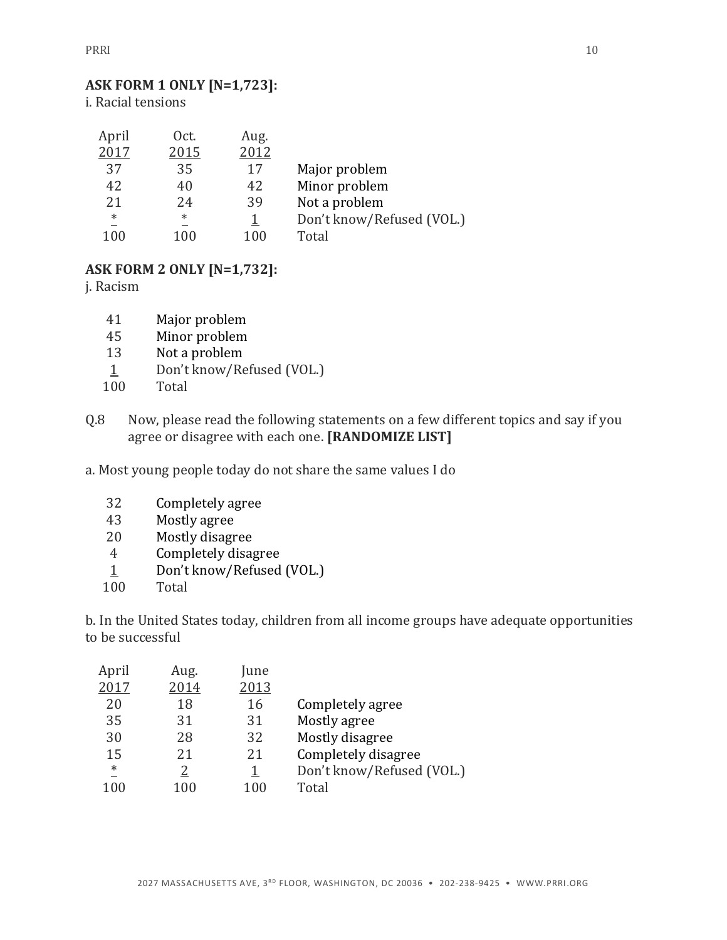# **ASK FORM 1 ONLY [N=1,723]:**

i. Racial tensions

| April  | Oct.    | Aug. |                           |
|--------|---------|------|---------------------------|
| 2017   | 2015    | 2012 |                           |
| 37     | 35      | 17   | Major problem             |
| 42     | 40      | 42   | Minor problem             |
| 2.1    | 24      | 39   | Not a problem             |
| $\ast$ | $^\ast$ |      | Don't know/Refused (VOL.) |
| 100    | 100     | 100  | Total                     |

#### **ASK FORM 2 ONLY [N=1,732]:**

j. Racism

- 41 Major problem
- 45 Minor problem
- 13 Not a problem
- 1 Don't know/Refused (VOL.)
- 100 Total
- Q.8 Now, please read the following statements on a few different topics and say if you agree or disagree with each one. **[RANDOMIZE LIST]**

a. Most young people today do not share the same values I do

- 32 Completely agree
- 43 Mostly agree
- 20 Mostly disagree
- 4 Completely disagree
- 1 Don't know/Refused (VOL.)
- 100 Total

b. In the United States today, children from all income groups have adequate opportunities to be successful

| Completely disagree       |  |
|---------------------------|--|
| Don't know/Refused (VOL.) |  |
|                           |  |
|                           |  |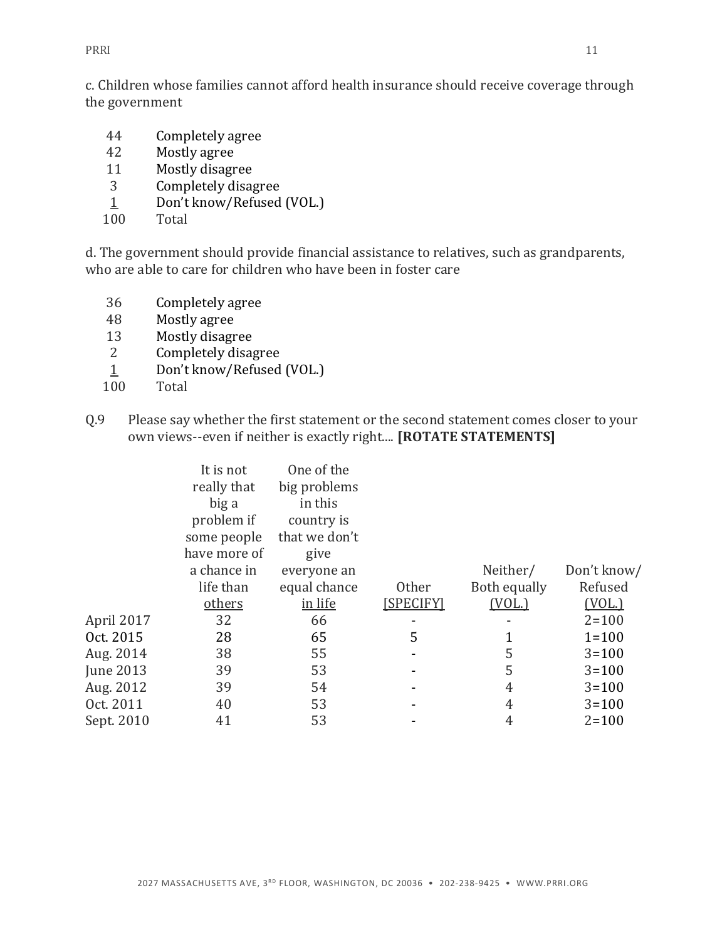PRRI 21

c. Children whose families cannot afford health insurance should receive coverage through the government

- 44 Completely agree
- 42 Mostly agree
- 11 Mostly disagree
- 3 Completely disagree
- 1 Don't know/Refused (VOL.)
- 100 Total

d. The government should provide financial assistance to relatives, such as grandparents, who are able to care for children who have been in foster care

- 36 Completely agree
- 48 Mostly agree
- 13 Mostly disagree
- 2 Completely disagree
- 1 Don't know/Refused (VOL.)
- 100 Total
- Q.9 Please say whether the first statement or the second statement comes closer to your own views--even if neither is exactly right.... **[ROTATE STATEMENTS]**

|                  | It is not<br>really that<br>big a<br>problem if<br>some people<br>have more of | One of the<br>big problems<br>in this<br>country is<br>that we don't<br>give |           |              |               |
|------------------|--------------------------------------------------------------------------------|------------------------------------------------------------------------------|-----------|--------------|---------------|
|                  | a chance in                                                                    | everyone an                                                                  |           | Neither/     | Don't know/   |
|                  | life than                                                                      | equal chance                                                                 | Other     | Both equally | Refused       |
|                  | others                                                                         | in life                                                                      | [SPECIFY] | (VOL.)       | <u>(VOL.)</u> |
| April 2017       | 32                                                                             | 66                                                                           |           |              | $2 = 100$     |
| Oct. 2015        | 28                                                                             | 65                                                                           | 5         |              | $1 = 100$     |
| Aug. 2014        | 38                                                                             | 55                                                                           |           | 5            | $3 = 100$     |
| <b>June 2013</b> | 39                                                                             | 53                                                                           |           | 5            | $3 = 100$     |
| Aug. 2012        | 39                                                                             | 54                                                                           |           | 4            | $3 = 100$     |
| Oct. 2011        | 40                                                                             | 53                                                                           |           | 4            | $3 = 100$     |
| Sept. 2010       | 41                                                                             | 53                                                                           |           | 4            | $2 = 100$     |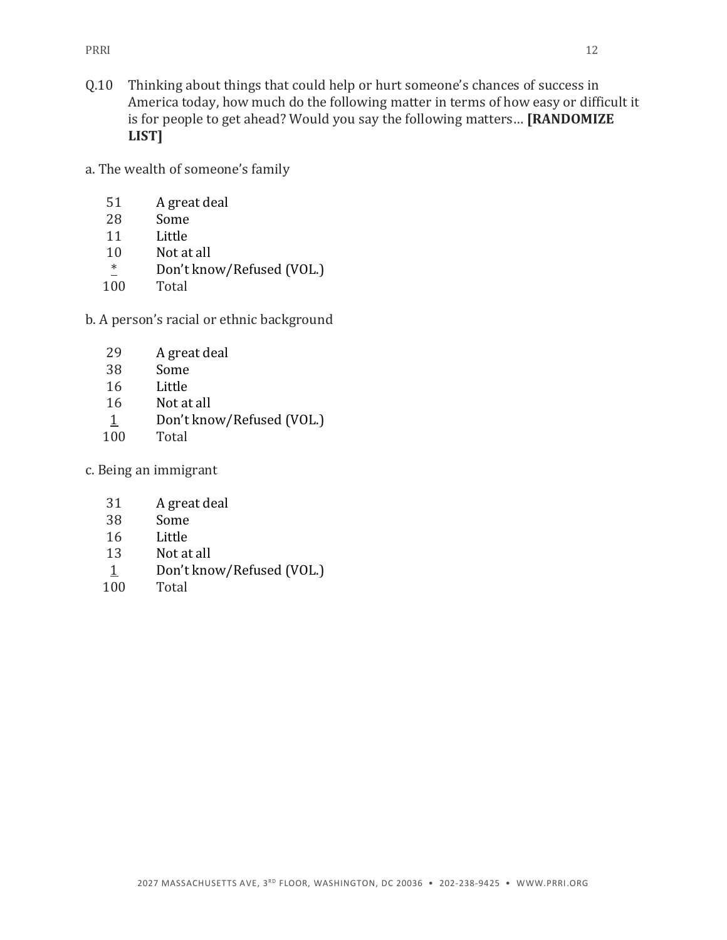- Q.10 Thinking about things that could help or hurt someone's chances of success in America today, how much do the following matter in terms of how easy or difficult it is for people to get ahead? Would you say the following matters… **[RANDOMIZE LIST]**
- a. The wealth of someone's family
	- 51 A great deal
	- 28 Some
	- 11 Little
	- 10 Not at all
	- \* Don't know/Refused (VOL.)
	- 100 Total
- b. A person's racial or ethnic background
	- 29 A great deal
	- 38 Some
	- 16 Little
	- 16 Not at all
	- 1 Don't know/Refused (VOL.)
	- 100 Total
- c. Being an immigrant
	- 31 A great deal
	- 38 Some
	- 16 Little
	- 13 Not at all
	- 1 Don't know/Refused (VOL.)
	- 100 Total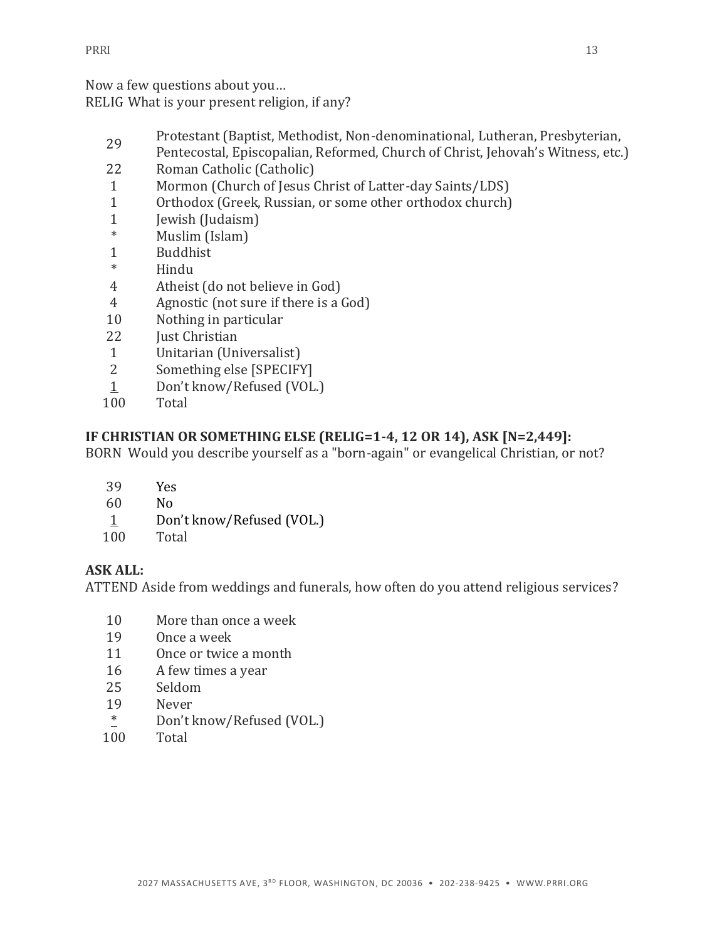Now a few questions about you… RELIG What is your present religion, if any?

- Protestant (Baptist, Methodist, Non-denominational, Lutheran, Presbyterian,
- Pentecostal, Episcopalian, Reformed, Church of Christ, Jehovah's Witness, etc.)
- 22 Roman Catholic (Catholic)
- Mormon (Church of Jesus Christ of Latter-day Saints/LDS)
- Orthodox (Greek, Russian, or some other orthodox church)
- 1 Jewish (Judaism)<br>\* Muslim (Johan)
- Muslim (Islam)
- Buddhist
- \* Hindu
- Atheist (do not believe in God)
- Agnostic (not sure if there is a God)
- Nothing in particular
- **Just Christian**
- Unitarian (Universalist)
- Something else [SPECIFY]
- Don't know/Refused (VOL.)
- Total

# **IF CHRISTIAN OR SOMETHING ELSE (RELIG=1-4, 12 OR 14), ASK [N=2,449]:**

BORN Would you describe yourself as a "born-again" or evangelical Christian, or not?

- Yes
- No
- Don't know/Refused (VOL.)
- Total

## **ASK ALL:**

ATTEND Aside from weddings and funerals, how often do you attend religious services?

- More than once a week
- Once a week
- Once or twice a month
- A few times a year
- Seldom
- Never
- \* Don't know/Refused (VOL.)
- Total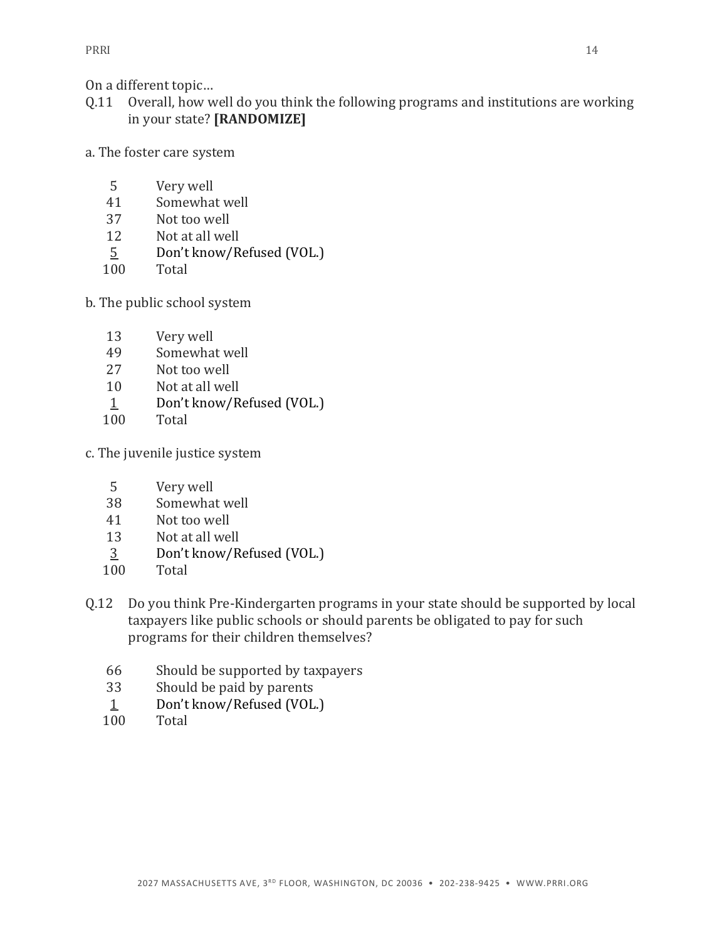On a different topic…

- Q.11 Overall, how well do you think the following programs and institutions are working in your state? **[RANDOMIZE]**
- a. The foster care system
	- Very well
	- Somewhat well
	- Not too well
	- Not at all well
	- Don't know/Refused (VOL.)
	- Total
- b. The public school system
	- Very well
	- Somewhat well
	- Not too well
	- Not at all well
	- 1 Don't know/Refused (VOL.)
	- Total
- c. The juvenile justice system
	- Very well
	- Somewhat well
	- Not too well
	- Not at all well
	- Don't know/Refused (VOL.)
	- Total
- Q.12 Do you think Pre-Kindergarten programs in your state should be supported by local taxpayers like public schools or should parents be obligated to pay for such programs for their children themselves?
	- Should be supported by taxpayers
	- Should be paid by parents
	- 1 Don't know/Refused (VOL.)
	- Total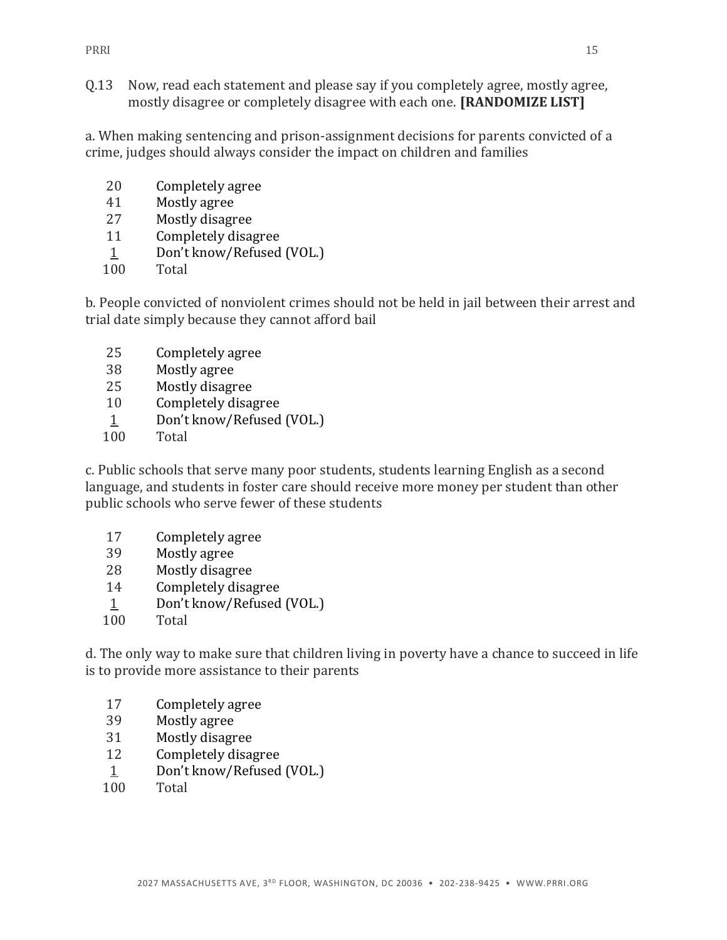Q.13 Now, read each statement and please say if you completely agree, mostly agree, mostly disagree or completely disagree with each one. **[RANDOMIZE LIST]**

a. When making sentencing and prison-assignment decisions for parents convicted of a crime, judges should always consider the impact on children and families

- Completely agree
- Mostly agree
- Mostly disagree
- Completely disagree
- Don't know/Refused (VOL.)
- Total

b. People convicted of nonviolent crimes should not be held in jail between their arrest and trial date simply because they cannot afford bail

- Completely agree
- Mostly agree
- Mostly disagree
- Completely disagree
- Don't know/Refused (VOL.)
- Total

c. Public schools that serve many poor students, students learning English as a second language, and students in foster care should receive more money per student than other public schools who serve fewer of these students

- Completely agree
- Mostly agree
- Mostly disagree
- Completely disagree
- Don't know/Refused (VOL.)
- Total

d. The only way to make sure that children living in poverty have a chance to succeed in life is to provide more assistance to their parents

- Completely agree
- Mostly agree
- Mostly disagree
- Completely disagree
- Don't know/Refused (VOL.)
- Total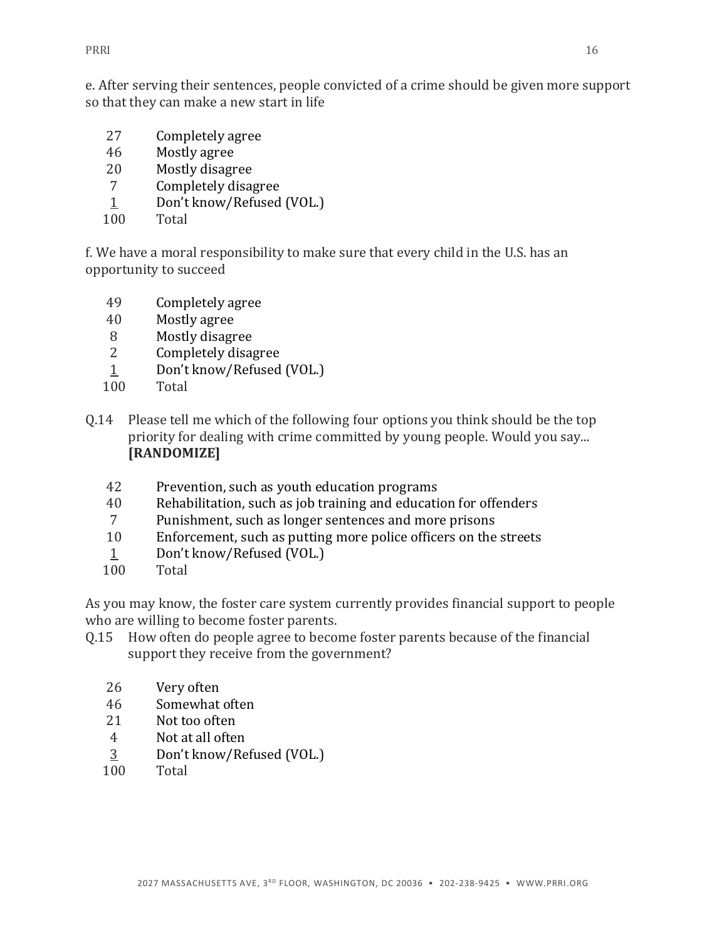e. After serving their sentences, people convicted of a crime should be given more support so that they can make a new start in life

- 27 Completely agree
- 46 Mostly agree
- 20 Mostly disagree
- 7 Completely disagree
- 1 Don't know/Refused (VOL.)
- 100 Total

f. We have a moral responsibility to make sure that every child in the U.S. has an opportunity to succeed

- 49 Completely agree
- 40 Mostly agree
- 8 Mostly disagree
- 2 Completely disagree
- 1 Don't know/Refused (VOL.)
- 100 Total
- Q.14 Please tell me which of the following four options you think should be the top priority for dealing with crime committed by young people. Would you say... **[RANDOMIZE]**
	- 42 Prevention, such as youth education programs
	- 40 Rehabilitation, such as job training and education for offenders
	- 7 Punishment, such as longer sentences and more prisons
	- 10 Enforcement, such as putting more police officers on the streets
	- 1 Don't know/Refused (VOL.)
	- 100 Total

As you may know, the foster care system currently provides financial support to people who are willing to become foster parents.

- Q.15 How often do people agree to become foster parents because of the financial support they receive from the government?
	- 26 Very often
	- 46 Somewhat often
	- 21 Not too often
	- 4 Not at all often
	- $\frac{3}{100}$  Don't know/Refused (VOL.)
	- Total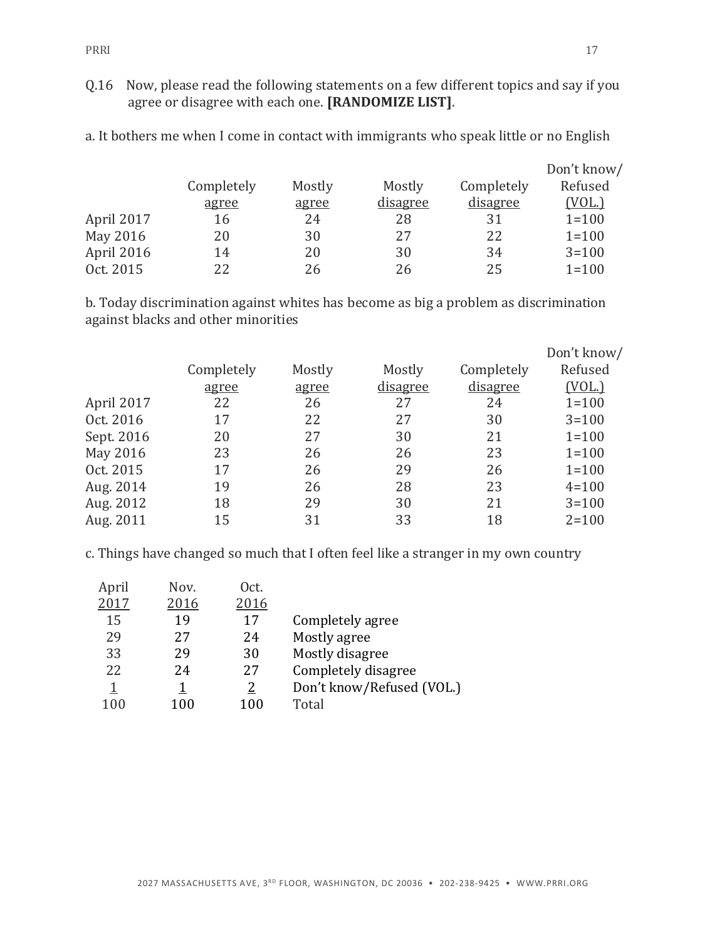Q.16 Now, please read the following statements on a few different topics and say if you agree or disagree with each one. **[RANDOMIZE LIST]**.

|            | Completely | Mostly | Mostly   | Completely | Don't know/<br>Refused |
|------------|------------|--------|----------|------------|------------------------|
|            | agree      | agree  | disagree | disagree   | <u>(VOL.)</u>          |
| April 2017 | 16         | 24     | 28       | 31         | $1 = 100$              |
| May 2016   | 20         | 30     | 27       | 22         | $1 = 100$              |
| April 2016 | 14         | 20     | 30       | 34         | $3 = 100$              |
| Oct. 2015  | 22         | 26     | 26       | 25         | $1 = 100$              |

a. It bothers me when I come in contact with immigrants who speak little or no English

b. Today discrimination against whites has become as big a problem as discrimination against blacks and other minorities

|            | Completely | Mostly | Mostly          | Completely      | Don't know/<br>Refused |
|------------|------------|--------|-----------------|-----------------|------------------------|
|            | agree      | agree  | <u>disagree</u> | <u>disagree</u> | (VOL.)                 |
| April 2017 | 22         | 26     | 27              | 24              | $1 = 100$              |
| Oct. 2016  | 17         | 22     | 27              | 30              | $3 = 100$              |
| Sept. 2016 | 20         | 27     | 30              | 21              | $1 = 100$              |
| May 2016   | 23         | 26     | 26              | 23              | $1 = 100$              |
| Oct. 2015  | 17         | 26     | 29              | 26              | $1 = 100$              |
| Aug. 2014  | 19         | 26     | 28              | 23              | $4 = 100$              |
| Aug. 2012  | 18         | 29     | 30              | 21              | $3 = 100$              |
| Aug. 2011  | 15         | 31     | 33              | 18              | $2 = 100$              |

c. Things have changed so much that I often feel like a stranger in my own country

| April | Nov. | Oct. |                           |
|-------|------|------|---------------------------|
| 2017  | 2016 | 2016 |                           |
| 15    | 19   | 17   | Completely agree          |
| 29    | 27   | 24   | Mostly agree              |
| 33    | 29   | 30   | Mostly disagree           |
| 22    | 24   | 27   | Completely disagree       |
| 1     |      |      | Don't know/Refused (VOL.) |
| 100   | 100  | 100  | Total                     |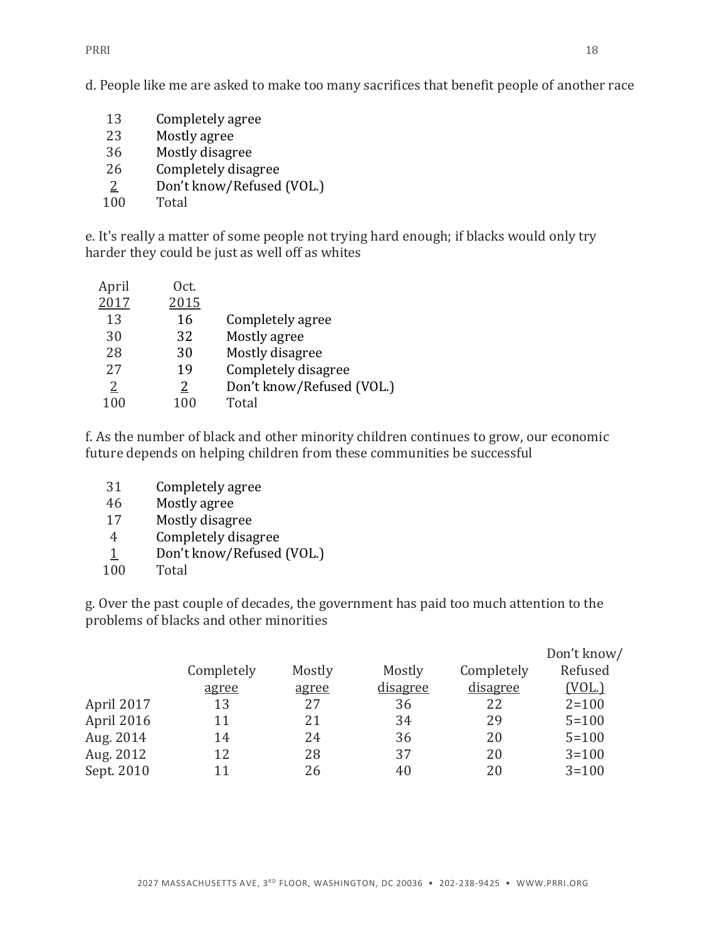PRRI 218

d. People like me are asked to make too many sacrifices that benefit people of another race

- 13 Completely agree
- 23 Mostly agree
- 36 Mostly disagree
- 26 Completely disagree
- 2 Don't know/Refused (VOL.)
- 100 Total

e. It's really a matter of some people not trying hard enough; if blacks would only try harder they could be just as well off as whites

| April | Oct. |                           |
|-------|------|---------------------------|
| 2017  | 2015 |                           |
| 13    | 16   | Completely agree          |
| 30    | 32   | Mostly agree              |
| 28    | 30   | Mostly disagree           |
| 27    | 19   | Completely disagree       |
| 2     | 2    | Don't know/Refused (VOL.) |
| 100   | 100  | Total                     |

f. As the number of black and other minority children continues to grow, our economic future depends on helping children from these communities be successful

- 31 Completely agree
- 46 Mostly agree
- 17 Mostly disagree
- 4 Completely disagree
- 1 Don't know/Refused (VOL.)
- 100 Total

g. Over the past couple of decades, the government has paid too much attention to the problems of blacks and other minorities

|            |            |        |          |                 | Don't know/ |
|------------|------------|--------|----------|-----------------|-------------|
|            | Completely | Mostly | Mostly   | Completely      | Refused     |
|            | agree      | agree  | disagree | <u>disagree</u> | (VOL.)      |
| April 2017 | 13         | 27     | 36       | 22              | $2 = 100$   |
| April 2016 | 11         | 21     | 34       | 29              | $5 = 100$   |
| Aug. 2014  | 14         | 24     | 36       | 20              | $5 = 100$   |
| Aug. 2012  | 12         | 28     | 37       | 20              | $3 = 100$   |
| Sept. 2010 | 11         | 26     | 40       | 20              | $3 = 100$   |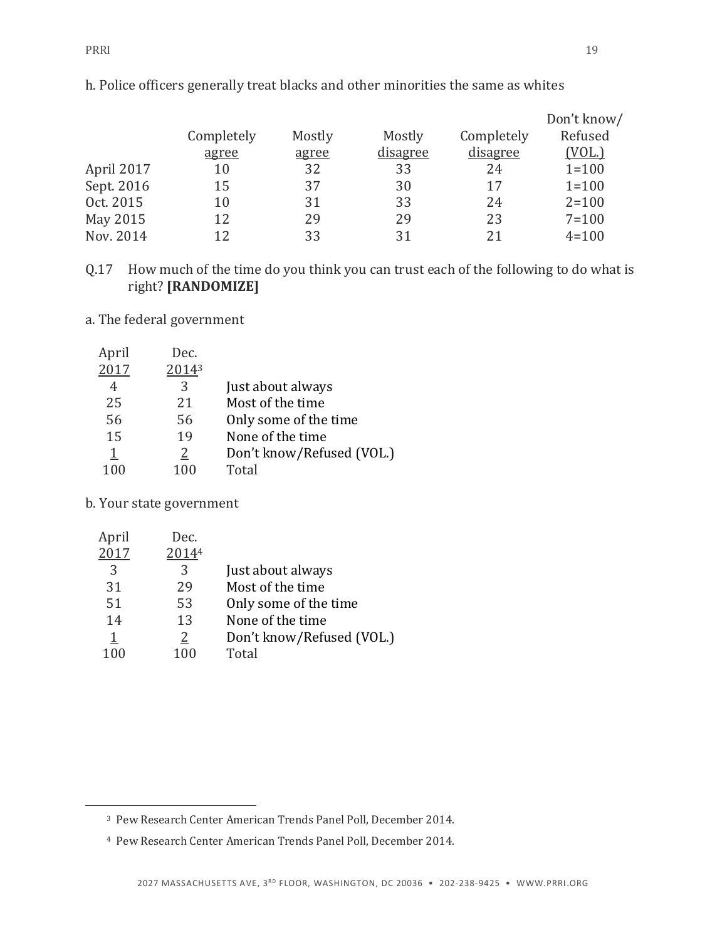|            |            |        |          |            | Don't know/ |
|------------|------------|--------|----------|------------|-------------|
|            | Completely | Mostly | Mostly   | Completely | Refused     |
|            | agree      | agree  | disagree | disagree   | (VOL.)      |
| April 2017 | 10         | 32     | 33       | 24         | $1 = 100$   |
| Sept. 2016 | 15         | 37     | 30       | 17         | $1 = 100$   |
| Oct. 2015  | 10         | 31     | 33       | 24         | $2 = 100$   |
| May 2015   | 12         | 29     | 29       | 23         | $7 = 100$   |
| Nov. 2014  | 12         | 33     | 31       | 21         | $4 = 100$   |

h. Police officers generally treat blacks and other minorities the same as whites

Q.17 How much of the time do you think you can trust each of the following to do what is right? **[RANDOMIZE]**

a. The federal government

| April    | Dec.  |                           |
|----------|-------|---------------------------|
| 2017     | 20143 |                           |
| 4        | 3     | Just about always         |
| 25       | 21    | Most of the time          |
| 56       | 56    | Only some of the time     |
| 15       | 19    | None of the time          |
| <u>1</u> | 2     | Don't know/Refused (VOL.) |
| 100      | 100   | Total                     |

b. Your state government

 $\overline{a}$ 

| April     | Dec.     |                           |
|-----------|----------|---------------------------|
| 2017      | 20144    |                           |
| 3         | 3        | Just about always         |
| 31        | 29       | Most of the time          |
| 51        | 53       | Only some of the time     |
| 14        | 13       | None of the time          |
| <u> 1</u> | <u>2</u> | Don't know/Refused (VOL.) |
| 100       | 100      | Total                     |
|           |          |                           |

<sup>3</sup> Pew Research Center American Trends Panel Poll, December 2014.

<sup>4</sup> Pew Research Center American Trends Panel Poll, December 2014.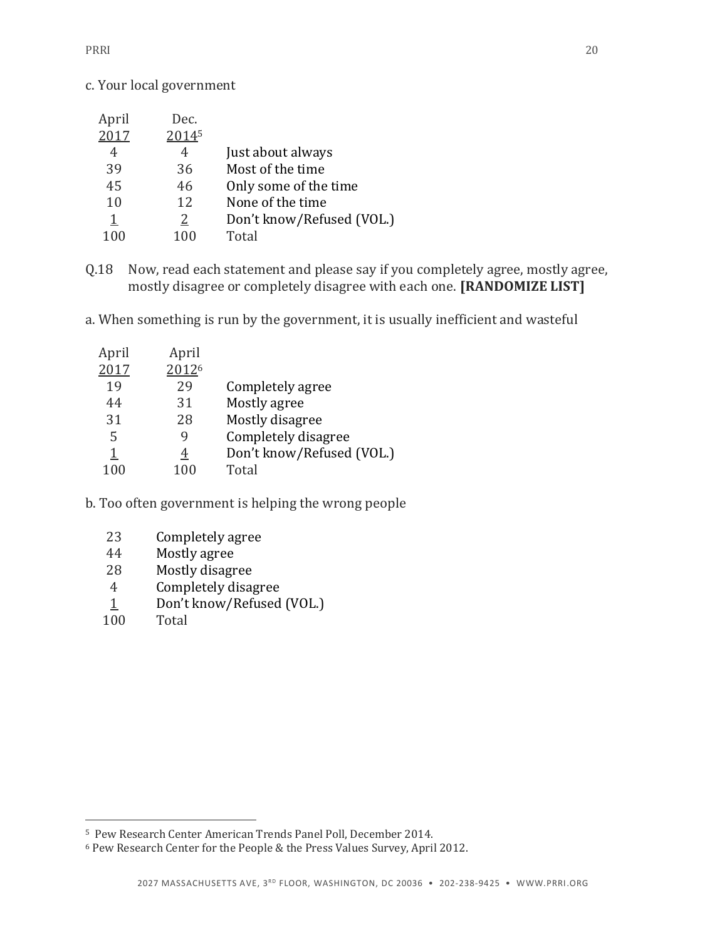c. Your local government

| April     | Dec.  |                           |
|-----------|-------|---------------------------|
| 2017      | 20145 |                           |
| 4         | 4     | Just about always         |
| 39        | 36    | Most of the time          |
| 45        | 46    | Only some of the time     |
| 10        | 12    | None of the time          |
| <u> 1</u> | 2     | Don't know/Refused (VOL.) |
| 100       | 100   | Total                     |
|           |       |                           |

- Q.18 Now, read each statement and please say if you completely agree, mostly agree, mostly disagree or completely disagree with each one. **[RANDOMIZE LIST]**
- a. When something is run by the government, it is usually inefficient and wasteful

| April | April |                           |
|-------|-------|---------------------------|
| 2017  | 20126 |                           |
| 19    | 29    | Completely agree          |
| 44    | 31    | Mostly agree              |
| 31    | 28    | Mostly disagree           |
| 5     |       | Completely disagree       |
| 1     | 4     | Don't know/Refused (VOL.) |
|       | 100   | Total                     |

- b. Too often government is helping the wrong people
	- Completely agree
	- Mostly agree
	- Mostly disagree
	- Completely disagree
	- $\frac{1}{100}$  Don't know/Refused (VOL.)
	- **Total**

 $\overline{a}$ 

Pew Research Center American Trends Panel Poll, December 2014.

Pew Research Center for the People & the Press Values Survey, April 2012.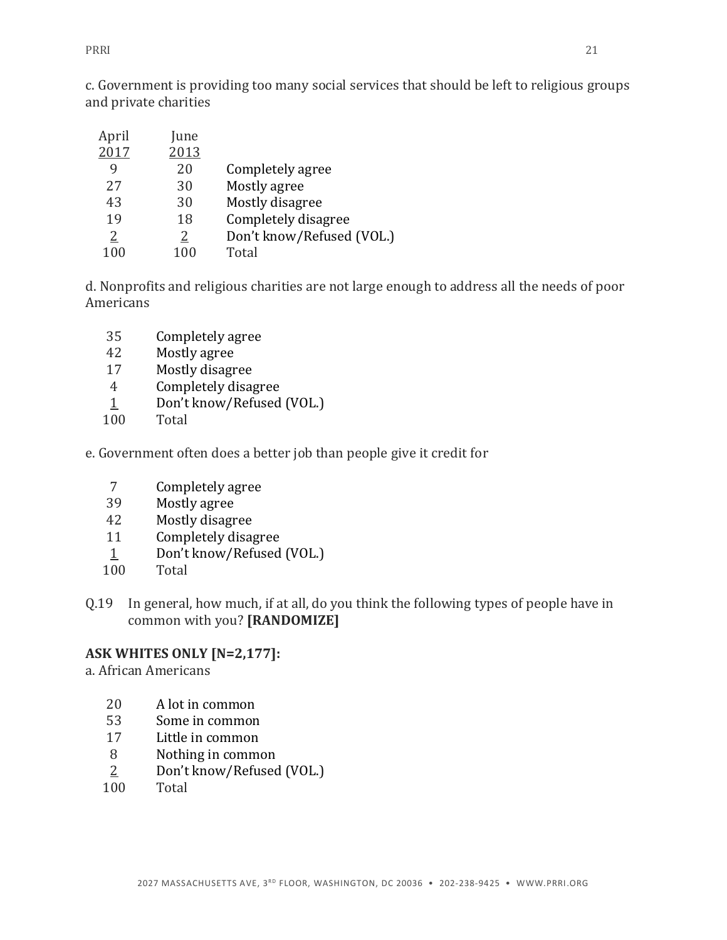PRRI 21

c. Government is providing too many social services that should be left to religious groups and private charities

| April | une] |                           |
|-------|------|---------------------------|
| 2017  | 2013 |                           |
| q     | 20   | Completely agree          |
| 2.7   | 30   | Mostly agree              |
| 43    | 30   | Mostly disagree           |
| 19    | 18   | Completely disagree       |
| 2     | 2    | Don't know/Refused (VOL.) |
|       | 100  | Total                     |

d. Nonprofits and religious charities are not large enough to address all the needs of poor Americans

- Completely agree
- Mostly agree
- Mostly disagree
- Completely disagree
- 1 Don't know/Refused (VOL.)
- Total
- e. Government often does a better job than people give it credit for
	- Completely agree
	- Mostly agree
	- Mostly disagree
	- Completely disagree
	- Don't know/Refused (VOL.)
	- Total
- Q.19 In general, how much, if at all, do you think the following types of people have in common with you? **[RANDOMIZE]**

## **ASK WHITES ONLY [N=2,177]:**

a. African Americans

- A lot in common
- Some in common
- Little in common
- Nothing in common
- Don't know/Refused (VOL.)
- Total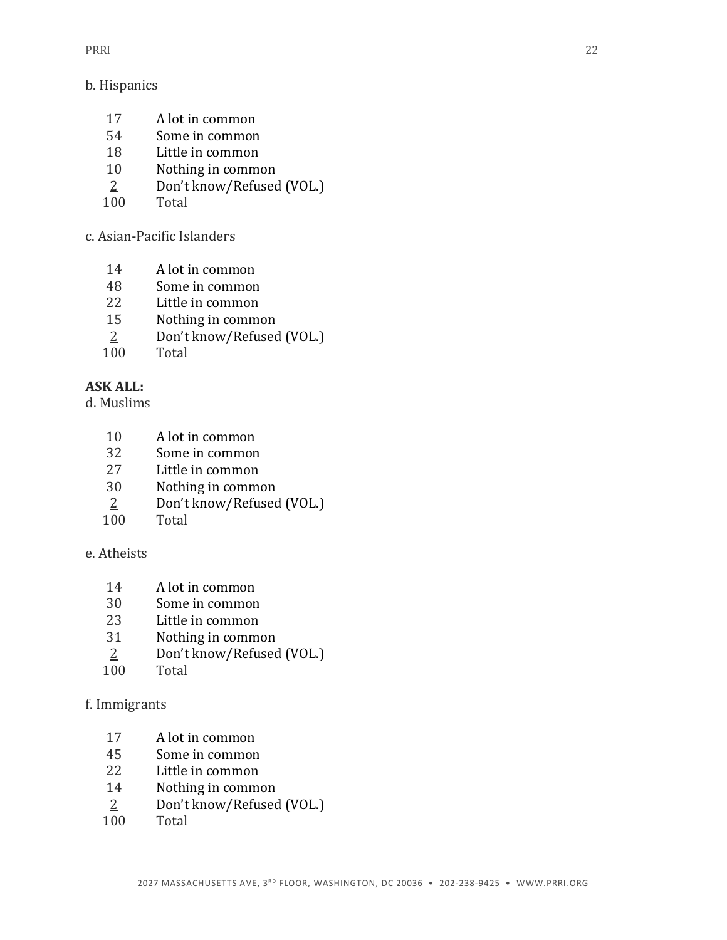#### b. Hispanics

- A lot in common
- Some in common
- Little in common
- Nothing in common
- Don't know/Refused (VOL.)
- Total

c. Asian-Pacific Islanders

- A lot in common
- Some in common
- Little in common
- Nothing in common
- Don't know/Refused (VOL.)
- Total

# **ASK ALL:**

d. Muslims

- A lot in common
- Some in common
- Little in common
- Nothing in common
- Don't know/Refused (VOL.)
- Total

## e. Atheists

- A lot in common
- Some in common
- Little in common
- Nothing in common
- Don't know/Refused (VOL.)
- Total

## f. Immigrants

- A lot in common
- Some in common
- Little in common
- Nothing in common
- Don't know/Refused (VOL.)
- Total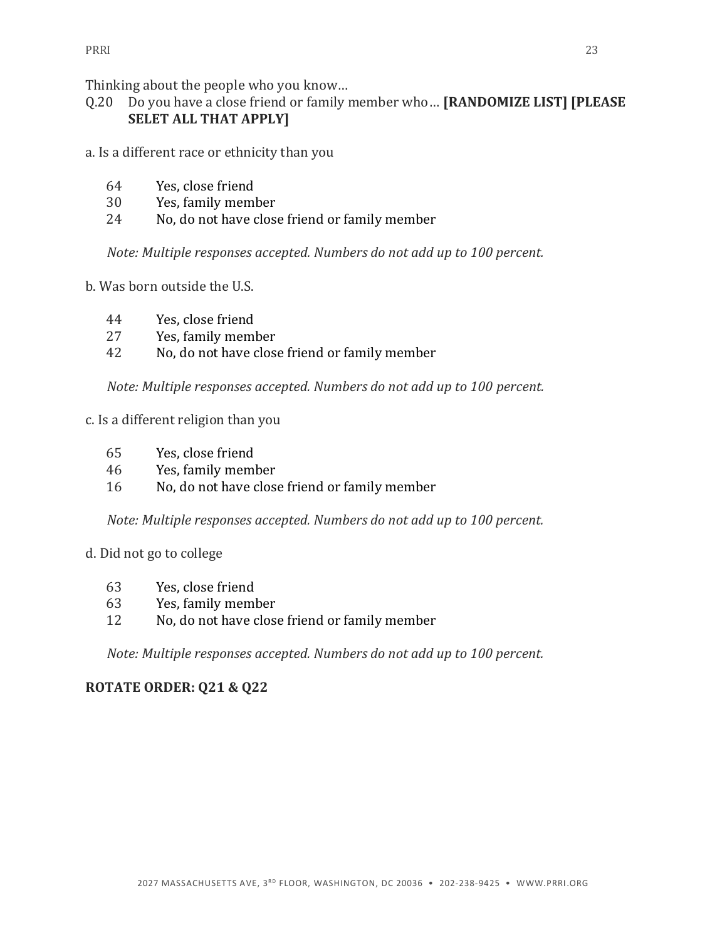Thinking about the people who you know…

- Q.20 Do you have a close friend or family member who… **[RANDOMIZE LIST] [PLEASE SELET ALL THAT APPLY]**
- a. Is a different race or ethnicity than you
	- 64 Yes, close friend
	- 30 Yes, family member
	- 24 No, do not have close friend or family member

*Note: Multiple responses accepted. Numbers do not add up to 100 percent.*

- b. Was born outside the U.S.
	- 44 Yes, close friend
	- 27 Yes, family member
	- 42 No, do not have close friend or family member

*Note: Multiple responses accepted. Numbers do not add up to 100 percent.*

#### c. Is a different religion than you

- 65 Yes, close friend
- 46 Yes, family member
- 16 No, do not have close friend or family member

*Note: Multiple responses accepted. Numbers do not add up to 100 percent.*

#### d. Did not go to college

- 63 Yes, close friend
- 63 Yes, family member
- 12 No, do not have close friend or family member

*Note: Multiple responses accepted. Numbers do not add up to 100 percent.*

## **ROTATE ORDER: Q21 & Q22**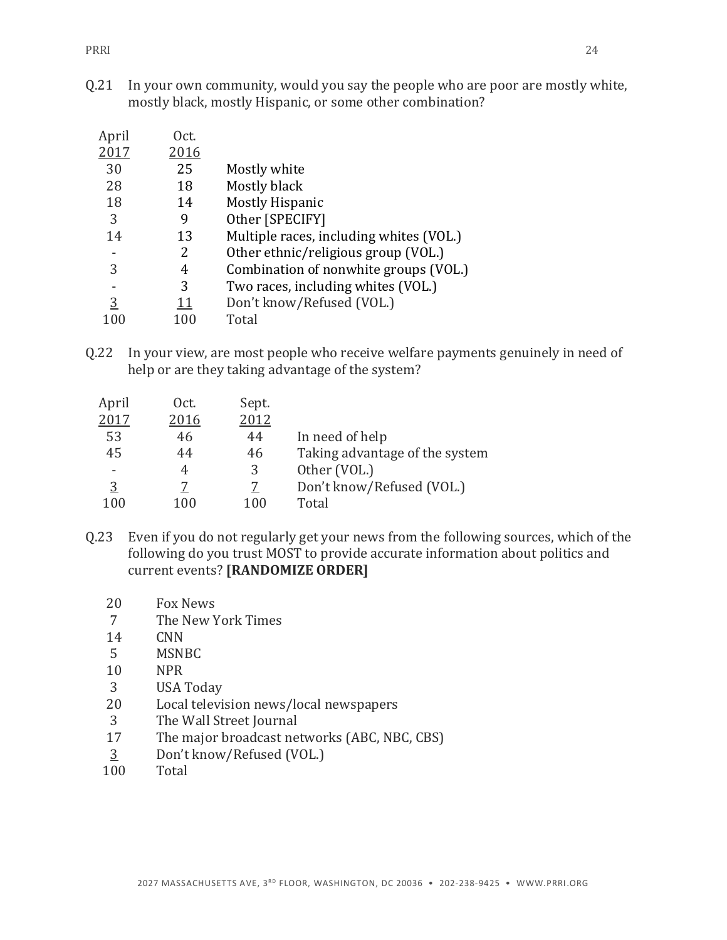Q.21 In your own community, would you say the people who are poor are mostly white, mostly black, mostly Hispanic, or some other combination?

| April | Oct.       |                                         |
|-------|------------|-----------------------------------------|
| 2017  | 2016       |                                         |
| 30    | 25         | Mostly white                            |
| 28    | 18         | Mostly black                            |
| 18    | 14         | <b>Mostly Hispanic</b>                  |
| 3     | 9          | Other [SPECIFY]                         |
| 14    | 13         | Multiple races, including whites (VOL.) |
|       | 2          | Other ethnic/religious group (VOL.)     |
| 3     | 4          | Combination of nonwhite groups (VOL.)   |
|       | 3          | Two races, including whites (VOL.)      |
| 3     | <u> 11</u> | Don't know/Refused (VOL.)               |
|       | 100        | Total                                   |

Q.22 In your view, are most people who receive welfare payments genuinely in need of help or are they taking advantage of the system?

| April    | Oct. | Sept. |                                |
|----------|------|-------|--------------------------------|
| 2017     | 2016 | 2012  |                                |
| 53       | 46   | 44    | In need of help                |
| 45       | 44   | 46    | Taking advantage of the system |
|          | 4    | 3     | Other (VOL.)                   |
| <u>3</u> |      | 7     | Don't know/Refused (VOL.)      |
| 100      | 100  | 100   | Total                          |

- Q.23 Even if you do not regularly get your news from the following sources, which of the following do you trust MOST to provide accurate information about politics and current events? **[RANDOMIZE ORDER]**
	- 20 Fox News
	- 7 The New York Times
	- 14 CNN
	- 5 MSNBC
	- 10 NPR
	- 3 USA Today
	- 20 Local television news/local newspapers
	- 3 The Wall Street Journal
	- 17 The major broadcast networks (ABC, NBC, CBS)
	- 3 Don't know/Refused (VOL.)<br>100 Total
	- **Total**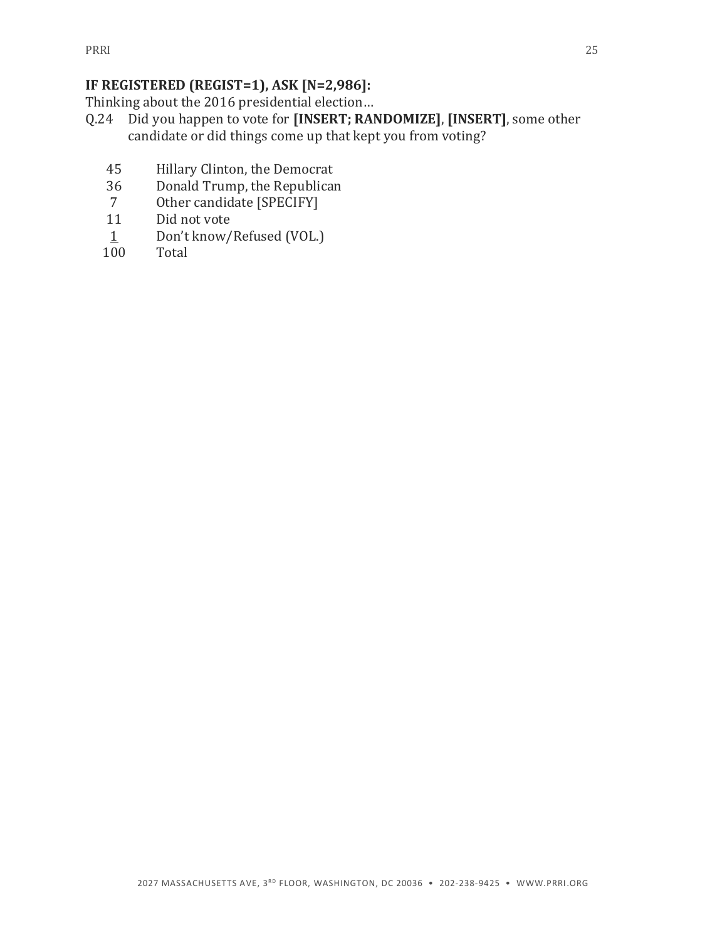# **IF REGISTERED (REGIST=1), ASK [N=2,986]:**

Thinking about the 2016 presidential election…

- Q.24 Did you happen to vote for **[INSERT; RANDOMIZE]**, **[INSERT]**, some other candidate or did things come up that kept you from voting?
	- 45 Hillary Clinton, the Democrat
	- 36 Donald Trump, the Republican
	- 7 Other candidate [SPECIFY]
	- 11 Did not vote
	- 1 Don't know/Refused (VOL.)
	- 100 Total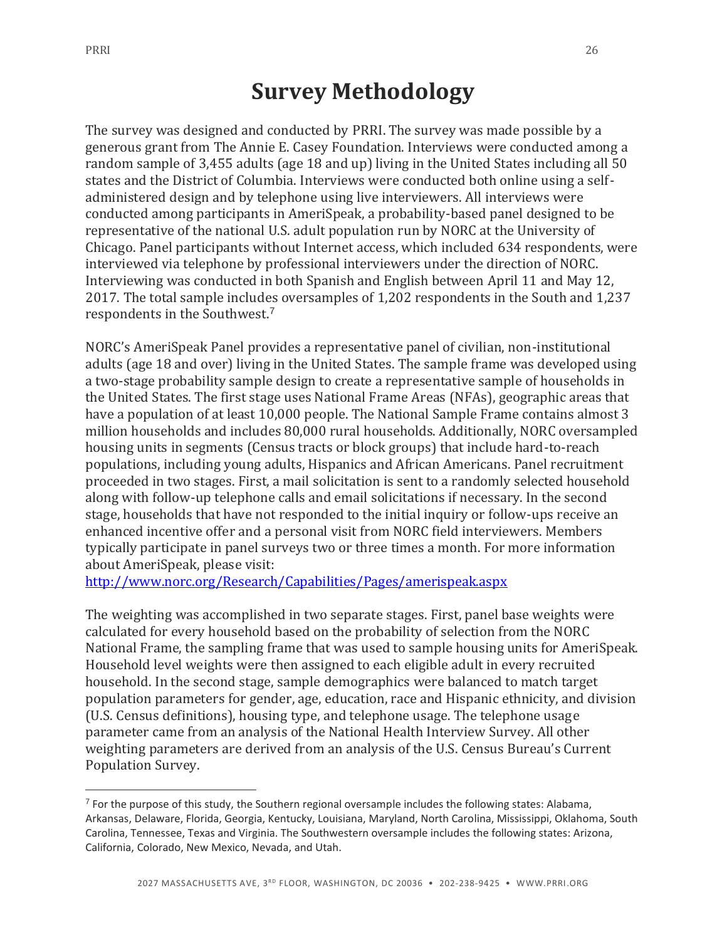$\overline{a}$ 

# **Survey Methodology**

The survey was designed and conducted by PRRI. The survey was made possible by a generous grant from The Annie E. Casey Foundation. Interviews were conducted among a random sample of 3,455 adults (age 18 and up) living in the United States including all 50 states and the District of Columbia. Interviews were conducted both online using a selfadministered design and by telephone using live interviewers. All interviews were conducted among participants in AmeriSpeak, a probability-based panel designed to be representative of the national U.S. adult population run by NORC at the University of Chicago. Panel participants without Internet access, which included 634 respondents, were interviewed via telephone by professional interviewers under the direction of NORC. Interviewing was conducted in both Spanish and English between April 11 and May 12, 2017. The total sample includes oversamples of 1,202 respondents in the South and 1,237 respondents in the Southwest.<sup>7</sup>

NORC's AmeriSpeak Panel provides a representative panel of civilian, non-institutional adults (age 18 and over) living in the United States. The sample frame was developed using a two-stage probability sample design to create a representative sample of households in the United States. The first stage uses National Frame Areas (NFAs), geographic areas that have a population of at least 10,000 people. The National Sample Frame contains almost 3 million households and includes 80,000 rural households. Additionally, NORC oversampled housing units in segments (Census tracts or block groups) that include hard-to-reach populations, including young adults, Hispanics and African Americans. Panel recruitment proceeded in two stages. First, a mail solicitation is sent to a randomly selected household along with follow-up telephone calls and email solicitations if necessary. In the second stage, households that have not responded to the initial inquiry or follow-ups receive an enhanced incentive offer and a personal visit from NORC field interviewers. Members typically participate in panel surveys two or three times a month. For more information about AmeriSpeak, please visit:

<http://www.norc.org/Research/Capabilities/Pages/amerispeak.aspx>

The weighting was accomplished in two separate stages. First, panel base weights were calculated for every household based on the probability of selection from the NORC National Frame, the sampling frame that was used to sample housing units for AmeriSpeak. Household level weights were then assigned to each eligible adult in every recruited household. In the second stage, sample demographics were balanced to match target population parameters for gender, age, education, race and Hispanic ethnicity, and division (U.S. Census definitions), housing type, and telephone usage. The telephone usage parameter came from an analysis of the National Health Interview Survey. All other weighting parameters are derived from an analysis of the U.S. Census Bureau's Current Population Survey.

<sup>&</sup>lt;sup>7</sup> For the purpose of this study, the Southern regional oversample includes the following states: Alabama, Arkansas, Delaware, Florida, Georgia, Kentucky, Louisiana, Maryland, North Carolina, Mississippi, Oklahoma, South Carolina, Tennessee, Texas and Virginia. The Southwestern oversample includes the following states: Arizona, California, Colorado, New Mexico, Nevada, and Utah.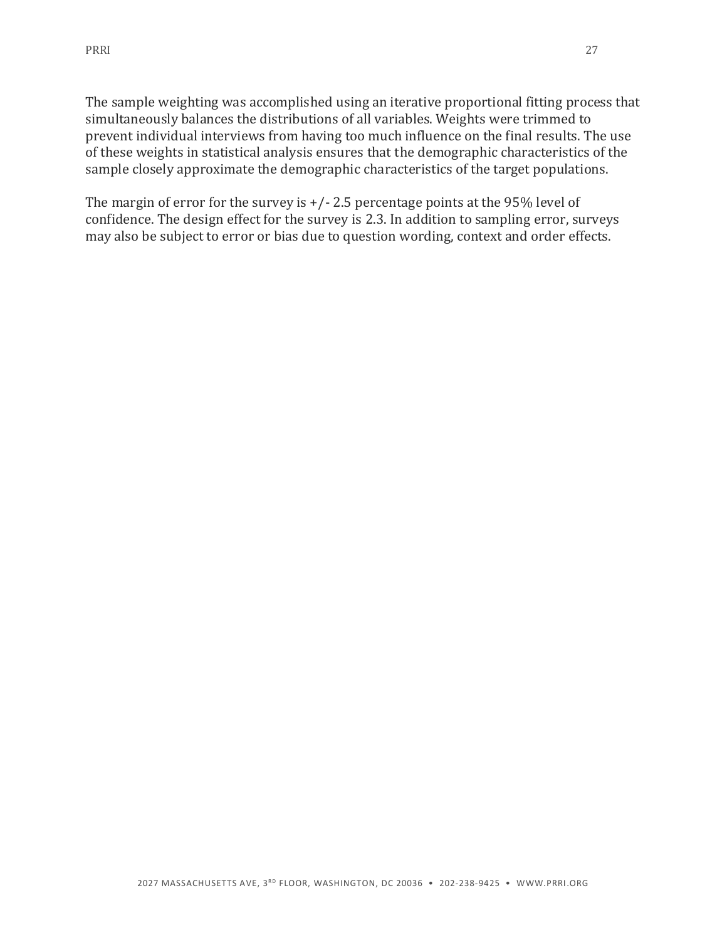The sample weighting was accomplished using an iterative proportional fitting process that simultaneously balances the distributions of all variables. Weights were trimmed to prevent individual interviews from having too much influence on the final results. The use of these weights in statistical analysis ensures that the demographic characteristics of the sample closely approximate the demographic characteristics of the target populations.

The margin of error for the survey is  $+/- 2.5$  percentage points at the 95% level of confidence. The design effect for the survey is 2.3. In addition to sampling error, surveys may also be subject to error or bias due to question wording, context and order effects.